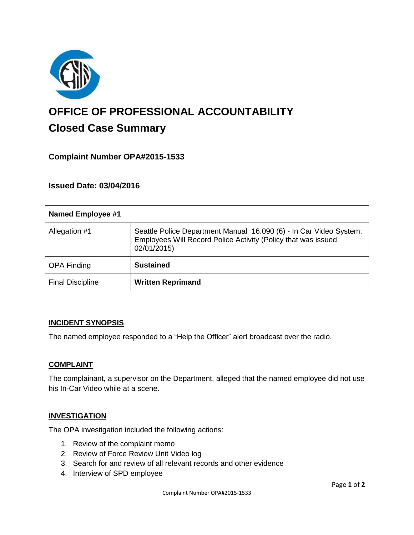

# **OFFICE OF PROFESSIONAL ACCOUNTABILITY Closed Case Summary**

## **Complaint Number OPA#2015-1533**

**Issued Date: 03/04/2016**

| <b>Named Employee #1</b> |                                                                                                                                                    |
|--------------------------|----------------------------------------------------------------------------------------------------------------------------------------------------|
| Allegation #1            | Seattle Police Department Manual 16.090 (6) - In Car Video System:<br>Employees Will Record Police Activity (Policy that was issued<br>02/01/2015) |
| <b>OPA Finding</b>       | <b>Sustained</b>                                                                                                                                   |
| <b>Final Discipline</b>  | <b>Written Reprimand</b>                                                                                                                           |

#### **INCIDENT SYNOPSIS**

The named employee responded to a "Help the Officer" alert broadcast over the radio.

#### **COMPLAINT**

The complainant, a supervisor on the Department, alleged that the named employee did not use his In-Car Video while at a scene.

## **INVESTIGATION**

The OPA investigation included the following actions:

- 1. Review of the complaint memo
- 2. Review of Force Review Unit Video log
- 3. Search for and review of all relevant records and other evidence
- 4. Interview of SPD employee